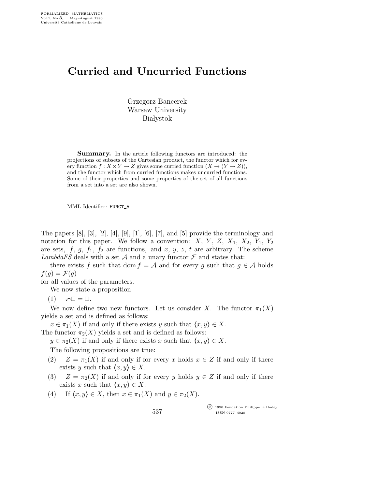## Curried and Uncurried Functions

Grzegorz Bancerek Warsaw University **Białystok** 

Summary. In the article following functors are introduced: the projections of subsets of the Cartesian product, the functor which for every function  $f: X \times Y \to Z$  gives some curried function  $(X \to (Y \to Z)),$ and the functor which from curried functions makes uncurried functions. Some of their properties and some properties of the set of all functions from a set into a set are also shown.

MML Identifier: FUNCT 5.

The papers  $[8]$ ,  $[3]$ ,  $[2]$ ,  $[4]$ ,  $[9]$ ,  $[1]$ ,  $[6]$ ,  $[7]$ , and  $[5]$  provide the terminology and notation for this paper. We follow a convention:  $X, Y, Z, X_1, X_2, Y_1, Y_2$ are sets, f, g, f<sub>1</sub>, f<sub>2</sub> are functions, and x, y, z, t are arbitrary. The scheme LambdaFS deals with a set A and a unary functor  $\mathcal F$  and states that:

there exists f such that dom  $f = A$  and for every g such that  $g \in A$  holds  $f(g) = \mathcal{F}(g)$ 

for all values of the parameters.

We now state a proposition

(1)  $= \Box$ .

We now define two new functors. Let us consider X. The functor  $\pi_1(X)$ yields a set and is defined as follows:

 $x \in \pi_1(X)$  if and only if there exists y such that  $\langle x, y \rangle \in X$ .

The functor  $\pi_2(X)$  yields a set and is defined as follows:

 $y \in \pi_2(X)$  if and only if there exists x such that  $\langle x, y \rangle \in X$ .

The following propositions are true:

- (2)  $Z = \pi_1(X)$  if and only if for every x holds  $x \in Z$  if and only if there exists y such that  $\langle x, y \rangle \in X$ .
- (3)  $Z = \pi_2(X)$  if and only if for every y holds  $y \in Z$  if and only if there exists x such that  $\langle x, y \rangle \in X$ .

537

(4) If  $\langle x, y \rangle \in X$ , then  $x \in \pi_1(X)$  and  $y \in \pi_2(X)$ .

 c 1990 Fondation Philippe le Hodey ISSN 0777–4028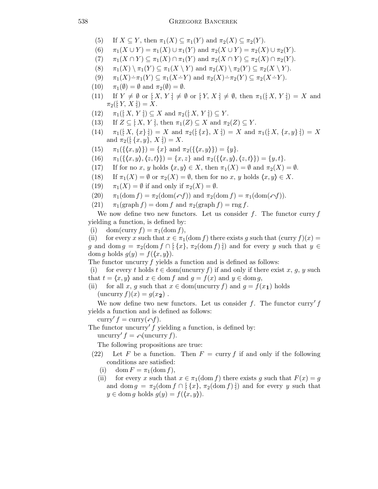- (5) If  $X \subseteq Y$ , then  $\pi_1(X) \subseteq \pi_1(Y)$  and  $\pi_2(X) \subseteq \pi_2(Y)$ .
- (6)  $\pi_1(X \cup Y) = \pi_1(X) \cup \pi_1(Y)$  and  $\pi_2(X \cup Y) = \pi_2(X) \cup \pi_2(Y)$ .
- (7)  $\pi_1(X \cap Y) \subseteq \pi_1(X) \cap \pi_1(Y)$  and  $\pi_2(X \cap Y) \subseteq \pi_2(X) \cap \pi_2(Y)$ .
- (8)  $\pi_1(X) \setminus \pi_1(Y) \subseteq \pi_1(X \setminus Y)$  and  $\pi_2(X) \setminus \pi_2(Y) \subseteq \pi_2(X \setminus Y)$ .
- (9)  $\pi_1(X) \pi_1(Y) \subseteq \pi_1(X-Y)$  and  $\pi_2(X) \pi_2(Y) \subseteq \pi_2(X-Y)$ .
- (10)  $\pi_1(\emptyset) = \emptyset$  and  $\pi_2(\emptyset) = \emptyset$ .
- (11) If  $Y \neq \emptyset$  or  $[X, Y] \neq \emptyset$  or  $[Y, X] \neq \emptyset$ , then  $\pi_1([X, Y]) = X$  and  $\pi_2([Y, X]) = X.$
- (12)  $\pi_1([X, Y]) \subseteq X$  and  $\pi_2([X, Y]) \subseteq Y$ .
- (13) If  $Z \subseteq [X, Y]$ , then  $\pi_1(Z) \subseteq X$  and  $\pi_2(Z) \subseteq Y$ .
- (14)  $\pi_1([X, \{x\}] = X \text{ and } \pi_2([X, X]) = X \text{ and } \pi_1([X, \{x, y\}]) = X$ and  $\pi_2([\{x,y\}, X]) = X$ .
- (15)  $\pi_1({\{\langle x,y\rangle\}}) = {x}$  and  $\pi_2({\{\langle x,y\rangle\}}) = {y}.$
- (16)  $\pi_1({\{(x, y), (z, t)\}}) = {x, z}$  and  $\pi_2({\{(x, y), (z, t)\}}) = {y, t}.$
- (17) If for no x, y holds  $\langle x, y \rangle \in X$ , then  $\pi_1(X) = \emptyset$  and  $\pi_2(X) = \emptyset$ .
- (18) If  $\pi_1(X) = \emptyset$  or  $\pi_2(X) = \emptyset$ , then for no x, y holds  $\langle x, y \rangle \in X$ .
- (19)  $\pi_1(X) = \emptyset$  if and only if  $\pi_2(X) = \emptyset$ .
- (20)  $\pi_1(\text{dom } f) = \pi_2(\text{dom}(\neg f))$  and  $\pi_2(\text{dom } f) = \pi_1(\text{dom}(\neg f)).$
- (21)  $\pi_1(\text{graph } f) = \text{dom } f \text{ and } \pi_2(\text{graph } f) = \text{rng } f.$

We now define two new functors. Let us consider  $f$ . The functor curry  $f$ yielding a function, is defined by:

(i) dom(curry  $f$ ) =  $\pi_1$ (dom f),

(ii) for every x such that  $x \in \pi_1(\text{dom } f)$  there exists g such that  $(\text{curr } f)(x) =$ g and dom  $g = \pi_2(\text{dom } f \cap [\{x\}, \pi_2(\text{dom } f)])$  and for every y such that  $y \in$ dom g holds  $g(y) = f(\langle x, y \rangle)$ .

The functor uncurry  $f$  yields a function and is defined as follows:

(i) for every t holds  $t \in \text{dom}(\text{uncarry } f)$  if and only if there exist x, g, y such that  $t = \langle x, y \rangle$  and  $x \in \text{dom } f$  and  $g = f(x)$  and  $y \in \text{dom } g$ ,

(ii) for all x, g such that  $x \in \text{dom}(\text{uncarry } f)$  and  $g = f(x_1)$  holds  $(\text{uncarry } f)(x) = g(x_2)$ .

We now define two new functors. Let us consider f. The functor curry' f yields a function and is defined as follows:

curry'  $f = \text{curry}(\nabla f)$ .

The functor uncurry'  $f$  yielding a function, is defined by:

uncurry'  $f = \bigcap_{i=1}^n f(i)$ .

The following propositions are true:

- (22) Let F be a function. Then  $F = \text{curry } f$  if and only if the following conditions are satisfied:
	- (i) dom  $F = \pi_1(\text{dom } f)$ ,
	- (ii) for every x such that  $x \in \pi_1(\text{dom } f)$  there exists q such that  $F(x) = q$ and dom  $g = \pi_2(\text{dom } f \cap [\{x\}, \pi_2(\text{dom } f)])$  and for every y such that  $y \in \text{dom } g \text{ holds } g(y) = f(\langle x, y \rangle).$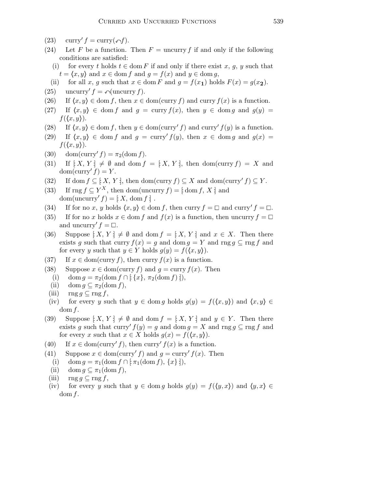- (23) curry'  $f = \text{curry}(\n\phi f)$ .
- (24) Let F be a function. Then  $F =$  uncurry f if and only if the following conditions are satisfied:
	- (i) for every t holds  $t \in \text{dom } F$  if and only if there exist x, q, y such that  $t = \langle x, y \rangle$  and  $x \in \text{dom } f$  and  $g = f(x)$  and  $y \in \text{dom } g$ ,
	- (ii) for all x, g such that  $x \in \text{dom } F$  and  $g = f(x_1)$  holds  $F(x) = g(x_2)$ .
- (25) uncurry'  $f = \bigcap_{\mathcal{A}} \text{uncurry } f$ .
- (26) If  $\langle x, y \rangle \in \text{dom } f$ , then  $x \in \text{dom}(\text{curr } f)$  and curry  $f(x)$  is a function.
- (27) If  $\langle x, y \rangle \in \text{dom } f$  and  $g = \text{curry } f(x)$ , then  $y \in \text{dom } g$  and  $g(y) =$  $f(\langle x, y \rangle).$
- (28) If  $\langle x, y \rangle \in \text{dom } f$ , then  $y \in \text{dom}(\text{curry}' f)$  and  $\text{curry}' f(y)$  is a function.
- (29) If  $\langle x, y \rangle \in \text{dom } f$  and  $g = \text{curry}' f(y)$ , then  $x \in \text{dom } g$  and  $g(x) =$  $f(\langle x, y \rangle).$
- (30) dom(curry'  $f$ ) =  $\pi_2$ (dom  $f$ ).
- (31) If  $[X, Y] \neq \emptyset$  and dom  $f = [X, Y]$ , then dom(curry  $f$ ) = X and  $dom(carry' f) = Y.$
- (32) If dom  $f \subseteq [X, Y]$ , then dom(curry  $f \subseteq X$  and dom(curry'  $f \subseteq Y$ .
- (33) If rng  $f \subseteq Y^X$ , then dom(uncurry  $f$ ) = [:dom f, X ] and  $dom(uncarry' f) = \frac{1}{2} X$ ,  $dom f$ :
- (34) If for no x, y holds  $\langle x, y \rangle \in \text{dom } f$ , then curry  $f = \Box$  and curry'  $f = \Box$ .
- (35) If for no x holds  $x \in \text{dom } f$  and  $f(x)$  is a function, then uncurry  $f = \Box$ and uncurry'  $f = \Box$ .
- (36) Suppose  $[X, Y] \neq \emptyset$  and dom  $f = [X, Y]$  and  $x \in X$ . Then there exists g such that curry  $f(x) = g$  and dom  $g = Y$  and rng  $g \subseteq \text{rng } f$  and for every y such that  $y \in Y$  holds  $g(y) = f(\langle x, y \rangle)$ .
- (37) If  $x \in \text{dom}(\text{curry } f)$ , then curry  $f(x)$  is a function.
- (38) Suppose  $x \in \text{dom}(\text{curry } f)$  and  $g = \text{curry } f(x)$ . Then
	- (i) dom  $g = \pi_2(\text{dom } f \cap [x], \pi_2(\text{dom } f);),$
	- (ii) dom  $g \subseteq \pi_2(\text{dom } f)$ ,
	- (iii)  $\text{rng } q \subseteq \text{rng } f,$
- (iv) for every y such that  $y \in \text{dom } g$  holds  $g(y) = f(\langle x, y \rangle)$  and  $\langle x, y \rangle \in$  $dom f.$
- (39) Suppose  $[X, Y] \neq \emptyset$  and dom  $f = [X, Y]$  and  $y \in Y$ . Then there exists g such that curry'  $f(y) = g$  and dom  $g = X$  and rng  $g \subseteq \text{rng } f$  and for every x such that  $x \in X$  holds  $g(x) = f(\langle x, y \rangle)$ .
- (40) If  $x \in \text{dom}(\text{curry'} f)$ , then curry'  $f(x)$  is a function.
- (41) Suppose  $x \in \text{dom}(\text{curry}' f)$  and  $g = \text{curry}' f(x)$ . Then
	- (i) dom  $g = \pi_1(\text{dom } f \cap [\pi_1(\text{dom } f), \{x\}]),$
	- (ii) dom  $g \subseteq \pi_1(\text{dom } f)$ ,
	- (iii)  $\text{rng } g \subseteq \text{rng } f,$
	- (iv) for every y such that  $y \in \text{dom } g$  holds  $g(y) = f(\langle y, x \rangle)$  and  $\langle y, x \rangle \in$  $dom f.$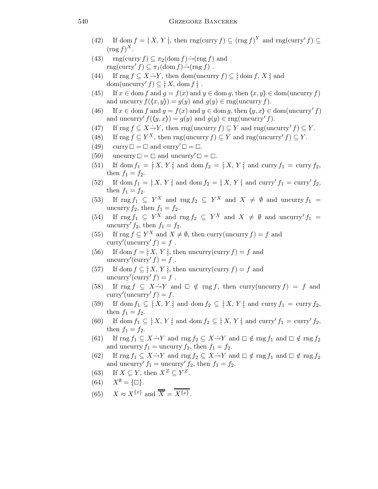- (42) If dom  $f = [X, Y]$ , then rng(curry  $f \subseteq (\text{rng } f)^Y$  and rng(curry'  $f \subseteq$  $(\text{rng } f)^X$ .
- (43) rng(curry  $f \subseteq \pi_2(\text{dom } f) \rightarrow \text{(rng } f)$  and rng(curry'  $f$ )  $\subseteq \pi_1(\text{dom } f) \rightarrow (\text{rng } f)$ .
- (44) If rng  $f \subseteq X \rightarrow Y$ , then dom(uncurry  $f \subseteq f$  dom  $f, X \neq$  and dom(uncurry'  $f$ )  $\subseteq$   $\vdots$   $X$ , dom  $f$   $\vdots$ .
- (45) If  $x \in \text{dom } f$  and  $g = f(x)$  and  $y \in \text{dom } g$ , then  $\langle x, y \rangle \in \text{dom}(\text{uncurry } f)$ and uncurry  $f(\langle x, y \rangle) = g(y)$  and  $g(y) \in \text{rng}(\text{uncurry } f)$ .
- (46) If  $x \in \text{dom } f$  and  $g = f(x)$  and  $y \in \text{dom } g$ , then  $\langle y, x \rangle \in \text{dom}(\text{uncurv}' f)$ and uncurry'  $f(\langle y, x \rangle) = g(y)$  and  $g(y) \in \text{rng}(\text{uncurry}' f)$ .
- (47) If rng  $f \subseteq X \rightarrow Y$ , then rng(uncurry  $f \subseteq Y$  and rng(uncurry'  $f \subseteq Y$ .
- (48) If  $\text{rng } f \subseteq Y^X$ , then  $\text{rng}(\text{uncurry } f) \subseteq Y$  and  $\text{rng}(\text{uncurry } f) \subseteq Y$ .
- (49) curry  $\Box = \Box$  and curry'  $\Box = \Box$ .
- (50) uncurry  $\square = \square$  and uncurry'  $\square = \square$ .
- (51) If dom  $f_1 = \{X, Y\}$  and dom  $f_2 = \{X, Y\}$  and curry  $f_1 = \text{curry } f_2$ , then  $f_1 = f_2$ .
- (52) If dom  $f_1 = [X, Y]$  and dom  $f_2 = [X, Y]$  and curry'  $f_1 = \text{curry}' f_2$ , then  $f_1 = f_2$ .
- (53) If  $\text{rng } f_1 \subseteq Y^X$  and  $\text{rng } f_2 \subseteq Y^X$  and  $X \neq \emptyset$  and uncurry  $f_1 =$ uncurry  $f_2$ , then  $f_1 = f_2$ .
- (54) If  $\text{rng } f_1 \subseteq Y^X$  and  $\text{rng } f_2 \subseteq Y^X$  and  $X \neq \emptyset$  and uncurry'  $f_1 =$ uncurry'  $f_2$ , then  $f_1 = f_2$ .
- (55) If  $\text{rng } f \subseteq Y^X$  and  $X \neq \emptyset$ , then curry(uncurry  $f$ ) = f and curry'(uncurry'  $f$ ) =  $f$ .
- (56) If dom  $f = [X, Y]$ , then uncurry(curry  $f$ ) = f and uncurry' $(\text{curry}' f) = f$ .
- (57) If dom  $f \subseteq [X, Y]$ , then uncurry(curry  $f$ ) = f and uncurry' $(\text{curry}' f) = f$ .
- (58) If  $\text{rng } f \subseteq X \rightarrow Y$  and  $\Box \notin \text{rng } f$ , then curry(uncurry  $f$ ) = f and curry'(uncurry'  $f$ ) =  $f$ .
- (59) If dom  $f_1 \subseteq [X, Y]$  and dom  $f_2 \subseteq [X, Y]$  and curry  $f_1 = \text{curry } f_2$ , then  $f_1 = f_2$ .
- (60) If dom  $f_1 \subseteq [X, Y]$  and dom  $f_2 \subseteq [X, Y]$  and curry'  $f_1 = \text{curry}' f_2$ , then  $f_1 = f_2$ .
- (61) If  $\text{rng } f_1 \subseteq X \rightarrow Y$  and  $\text{rng } f_2 \subseteq X \rightarrow Y$  and  $\Box \notin \text{rng } f_1$  and  $\Box \notin \text{rng } f_2$ and uncurry  $f_1$  = uncurry  $f_2$ , then  $f_1 = f_2$ .
- (62) If  $\text{rng } f_1 \subseteq X \rightarrow Y$  and  $\text{rng } f_2 \subseteq X \rightarrow Y$  and  $\Box \notin \text{rng } f_1$  and  $\Box \notin \text{rng } f_2$ and uncurry'  $f_1 =$  uncurry'  $f_2$ , then  $f_1 = f_2$ .
- (63) If  $X \subseteq Y$ , then  $X^Z \subseteq Y^Z$ .
- $(64)$   $X^{\emptyset} = {\square}.$
- (65)  $X \approx X^{\{x\}}$  and  $\overline{\overline{X}} = \overline{\overline{X^{\{x\}}}}$ .